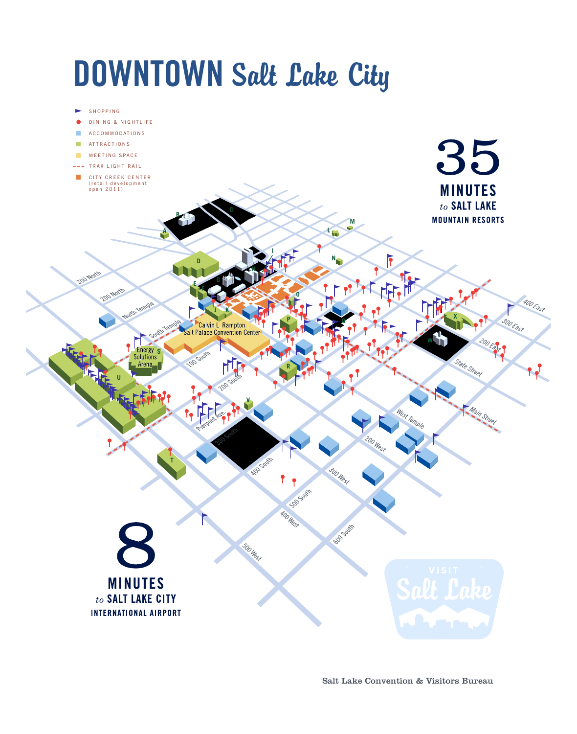# **DOWNTOWN** Salt Lake City